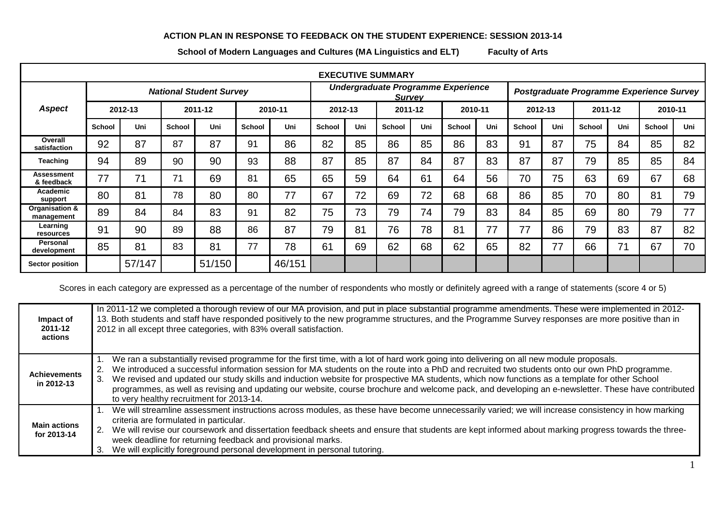## **ACTION PLAN IN RESPONSE TO FEEDBACK ON THE STUDENT EXPERIENCE: SESSION 2013-14**

**School of Modern Languages and Cultures (MA Linguistics and ELT) Faculty of Arts**

| <b>EXECUTIVE SUMMARY</b>     |                                |        |               |        |        |                                                     |               |         |               |         |                                          |         |               |         |               |         |               |         |  |
|------------------------------|--------------------------------|--------|---------------|--------|--------|-----------------------------------------------------|---------------|---------|---------------|---------|------------------------------------------|---------|---------------|---------|---------------|---------|---------------|---------|--|
|                              | <b>National Student Survey</b> |        |               |        |        | Undergraduate Programme Experience<br><b>Survey</b> |               |         |               |         | Postgraduate Programme Experience Survey |         |               |         |               |         |               |         |  |
| <b>Aspect</b>                | 2012-13                        |        | 2011-12       |        |        | 2010-11                                             |               | 2012-13 |               | 2011-12 |                                          | 2010-11 |               | 2012-13 |               | 2011-12 |               | 2010-11 |  |
|                              | <b>School</b>                  | Uni    | <b>School</b> | Uni    | School | Uni                                                 | <b>School</b> | Uni     | <b>School</b> | Uni     | <b>School</b>                            | Uni     | <b>School</b> | Uni     | <b>School</b> | Uni     | <b>School</b> | Uni     |  |
| Overall<br>satisfaction      | 92                             | 87     | 87            | 87     | 91     | 86                                                  | 82            | 85      | 86            | 85      | 86                                       | 83      | 91            | 87      | 75            | 84      | 85            | 82      |  |
| Teaching                     | 94                             | 89     | 90            | 90     | 93     | 88                                                  | 87            | 85      | 87            | 84      | 87                                       | 83      | 87            | 87      | 79            | 85      | 85            | 84      |  |
| Assessment<br>& feedback     | 77                             |        | 71            | 69     | 81     | 65                                                  | 65            | 59      | 64            | 61      | 64                                       | 56      | 70            | 75      | 63            | 69      | 67            | 68      |  |
| Academic<br>support          | 80                             | 81     | 78            | 80     | 80     | 77                                                  | 67            | 72      | 69            | 72      | 68                                       | 68      | 86            | 85      | 70            | 80      | 81            | 79      |  |
| Organisation &<br>management | 89                             | 84     | 84            | 83     | 91     | 82                                                  | 75            | 73      | 79            | 74      | 79                                       | 83      | 84            | 85      | 69            | 80      | 79            | 77      |  |
| Learning<br>resources        | 91                             | 90     | 89            | 88     | 86     | 87                                                  | 79            | 81      | 76            | 78      | 81                                       | 77      | 77            | 86      | 79            | 83      | 87            | 82      |  |
| Personal<br>development      | 85                             | 81     | 83            | 81     | 77     | 78                                                  | 61            | 69      | 62            | 68      | 62                                       | 65      | 82            | 77      | 66            | 71      | 67            | 70      |  |
| <b>Sector position</b>       |                                | 57/147 |               | 51/150 |        | 46/151                                              |               |         |               |         |                                          |         |               |         |               |         |               |         |  |

Scores in each category are expressed as a percentage of the number of respondents who mostly or definitely agreed with a range of statements (score 4 or 5)

| Impact of<br>2011-12<br>actions    | In 2011-12 we completed a thorough review of our MA provision, and put in place substantial programme amendments. These were implemented in 2012-<br>13. Both students and staff have responded positively to the new programme structures, and the Programme Survey responses are more positive than in<br>2012 in all except three categories, with 83% overall satisfaction.                                                                                                                                                                                                                                                                            |
|------------------------------------|------------------------------------------------------------------------------------------------------------------------------------------------------------------------------------------------------------------------------------------------------------------------------------------------------------------------------------------------------------------------------------------------------------------------------------------------------------------------------------------------------------------------------------------------------------------------------------------------------------------------------------------------------------|
| <b>Achievements</b><br>in 2012-13  | 1. We ran a substantially revised programme for the first time, with a lot of hard work going into delivering on all new module proposals.<br>We introduced a successful information session for MA students on the route into a PhD and recruited two students onto our own PhD programme.<br>2.<br>We revised and updated our study skills and induction website for prospective MA students, which now functions as a template for other School<br>3.<br>programmes, as well as revising and updating our website, course brochure and welcome pack, and developing an e-newsletter. These have contributed<br>to very healthy recruitment for 2013-14. |
| <b>Main actions</b><br>for 2013-14 | We will streamline assessment instructions across modules, as these have become unnecessarily varied; we will increase consistency in how marking<br>criteria are formulated in particular.<br>2. We will revise our coursework and dissertation feedback sheets and ensure that students are kept informed about marking progress towards the three-<br>week deadline for returning feedback and provisional marks.<br>We will explicitly foreground personal development in personal tutoring.<br>3.                                                                                                                                                     |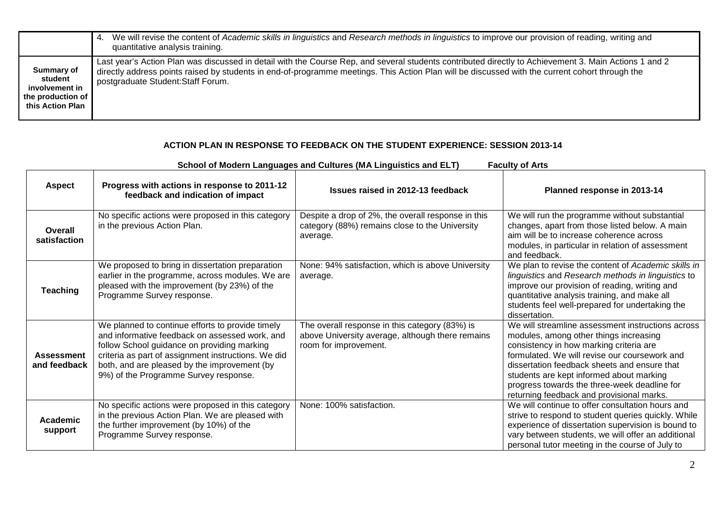|                                                                                  | We will revise the content of Academic skills in linguistics and Research methods in linguistics to improve our provision of reading, writing and<br>4.<br>quantitative analysis training.                                                                                                                                                     |
|----------------------------------------------------------------------------------|------------------------------------------------------------------------------------------------------------------------------------------------------------------------------------------------------------------------------------------------------------------------------------------------------------------------------------------------|
| Summary of<br>student<br>involvement in<br>the production of<br>this Action Plan | Last year's Action Plan was discussed in detail with the Course Rep, and several students contributed directly to Achievement 3. Main Actions 1 and 2<br>directly address points raised by students in end-of-programme meetings. This Action Plan will be discussed with the current cohort through the<br>postgraduate Student: Staff Forum. |

## **ACTION PLAN IN RESPONSE TO FEEDBACK ON THE STUDENT EXPERIENCE: SESSION 2013-14**

| <b>Faculty of Arts</b><br>School of Modern Languages and Cultures (MA Linguistics and ELT) |                                                                                                                                                                                                                                                                                                   |                                                                                                                             |                                                                                                                                                                                                                                                                                                                                                                                  |  |  |  |  |
|--------------------------------------------------------------------------------------------|---------------------------------------------------------------------------------------------------------------------------------------------------------------------------------------------------------------------------------------------------------------------------------------------------|-----------------------------------------------------------------------------------------------------------------------------|----------------------------------------------------------------------------------------------------------------------------------------------------------------------------------------------------------------------------------------------------------------------------------------------------------------------------------------------------------------------------------|--|--|--|--|
| <b>Aspect</b>                                                                              | Progress with actions in response to 2011-12<br>feedback and indication of impact                                                                                                                                                                                                                 | Issues raised in 2012-13 feedback                                                                                           | Planned response in 2013-14                                                                                                                                                                                                                                                                                                                                                      |  |  |  |  |
| Overall<br>satisfaction                                                                    | No specific actions were proposed in this category<br>in the previous Action Plan.                                                                                                                                                                                                                | Despite a drop of 2%, the overall response in this<br>category (88%) remains close to the University<br>average.            | We will run the programme without substantial<br>changes, apart from those listed below. A main<br>aim will be to increase coherence across<br>modules, in particular in relation of assessment<br>and feedback.                                                                                                                                                                 |  |  |  |  |
| <b>Teaching</b>                                                                            | We proposed to bring in dissertation preparation<br>earlier in the programme, across modules. We are<br>pleased with the improvement (by 23%) of the<br>Programme Survey response.                                                                                                                | None: 94% satisfaction, which is above University<br>average.                                                               | We plan to revise the content of Academic skills in<br>linguistics and Research methods in linguistics to<br>improve our provision of reading, writing and<br>quantitative analysis training, and make all<br>students feel well-prepared for undertaking the<br>dissertation.                                                                                                   |  |  |  |  |
| <b>Assessment</b><br>and feedback                                                          | We planned to continue efforts to provide timely<br>and informative feedback on assessed work, and<br>follow School guidance on providing marking<br>criteria as part of assignment instructions. We did<br>both, and are pleased by the improvement (by<br>9%) of the Programme Survey response. | The overall response in this category (83%) is<br>above University average, although there remains<br>room for improvement. | We will streamline assessment instructions across<br>modules, among other things increasing<br>consistency in how marking criteria are<br>formulated. We will revise our coursework and<br>dissertation feedback sheets and ensure that<br>students are kept informed about marking<br>progress towards the three-week deadline for<br>returning feedback and provisional marks. |  |  |  |  |
| Academic<br>support                                                                        | No specific actions were proposed in this category<br>in the previous Action Plan. We are pleased with<br>the further improvement (by 10%) of the<br>Programme Survey response.                                                                                                                   | None: 100% satisfaction.                                                                                                    | We will continue to offer consultation hours and<br>strive to respond to student queries quickly. While<br>experience of dissertation supervision is bound to<br>vary between students, we will offer an additional<br>personal tutor meeting in the course of July to                                                                                                           |  |  |  |  |